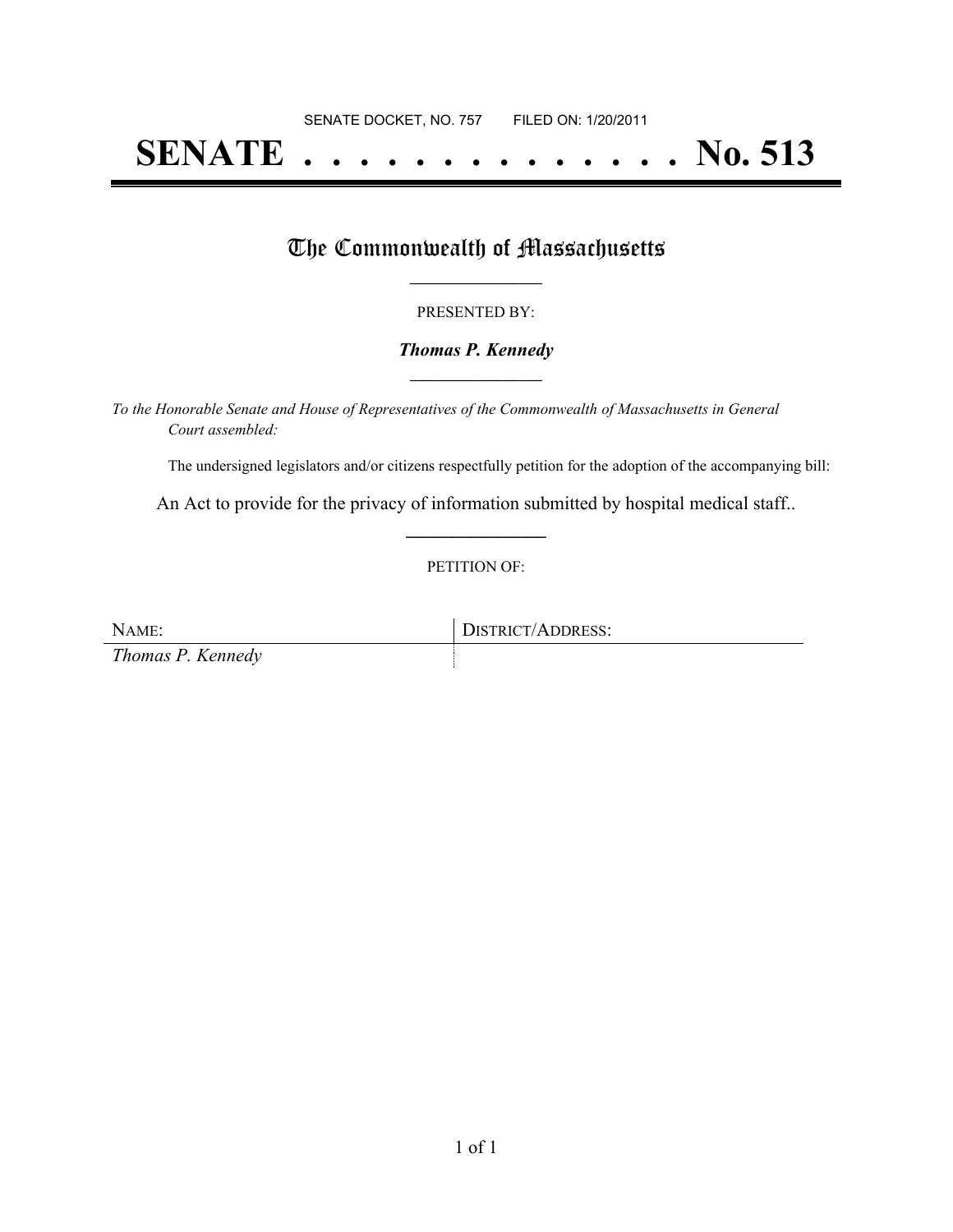# **SENATE . . . . . . . . . . . . . . No. 513**

## The Commonwealth of Massachusetts

#### PRESENTED BY:

#### *Thomas P. Kennedy* **\_\_\_\_\_\_\_\_\_\_\_\_\_\_\_\_\_**

*To the Honorable Senate and House of Representatives of the Commonwealth of Massachusetts in General Court assembled:*

The undersigned legislators and/or citizens respectfully petition for the adoption of the accompanying bill:

An Act to provide for the privacy of information submitted by hospital medical staff.. **\_\_\_\_\_\_\_\_\_\_\_\_\_\_\_**

#### PETITION OF:

NAME: DISTRICT/ADDRESS: *Thomas P. Kennedy*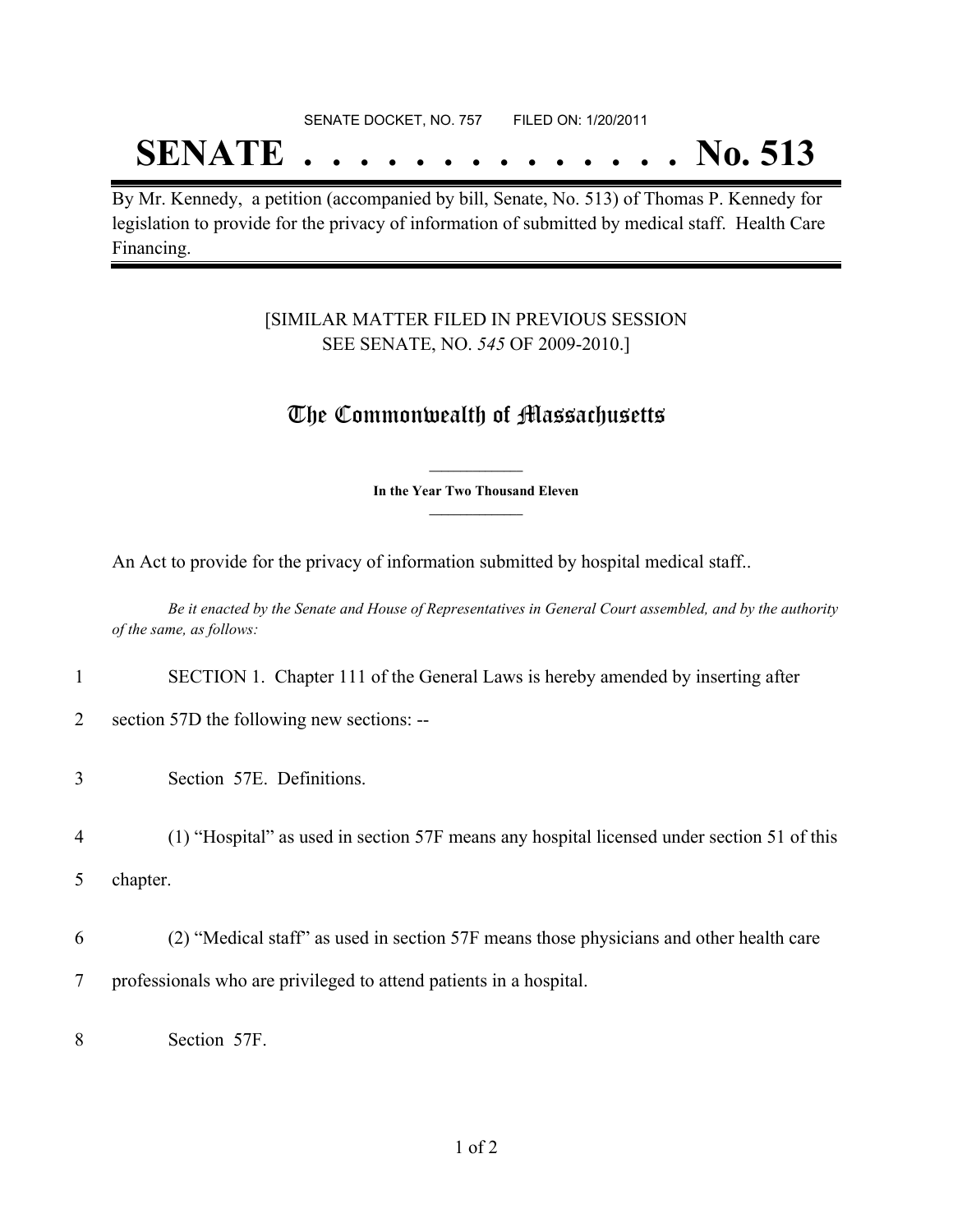## SENATE DOCKET, NO. 757 FILED ON: 1/20/2011

## **SENATE . . . . . . . . . . . . . . No. 513**

By Mr. Kennedy, a petition (accompanied by bill, Senate, No. 513) of Thomas P. Kennedy for legislation to provide for the privacy of information of submitted by medical staff. Health Care Financing.

## [SIMILAR MATTER FILED IN PREVIOUS SESSION SEE SENATE, NO. *545* OF 2009-2010.]

## The Commonwealth of Massachusetts

**\_\_\_\_\_\_\_\_\_\_\_\_\_\_\_ In the Year Two Thousand Eleven \_\_\_\_\_\_\_\_\_\_\_\_\_\_\_**

An Act to provide for the privacy of information submitted by hospital medical staff..

Be it enacted by the Senate and House of Representatives in General Court assembled, and by the authority *of the same, as follows:*

| SECTION 1. Chapter 111 of the General Laws is hereby amended by inserting after |  |  |  |  |
|---------------------------------------------------------------------------------|--|--|--|--|
|                                                                                 |  |  |  |  |

- 2 section 57D the following new sections: --
- 3 Section 57E. Definitions.

4 (1) "Hospital" as used in section 57F means any hospital licensed under section 51 of this

5 chapter.

- 6 (2) "Medical staff" as used in section 57F means those physicians and other health care 7 professionals who are privileged to attend patients in a hospital.
- 8 Section 57F.